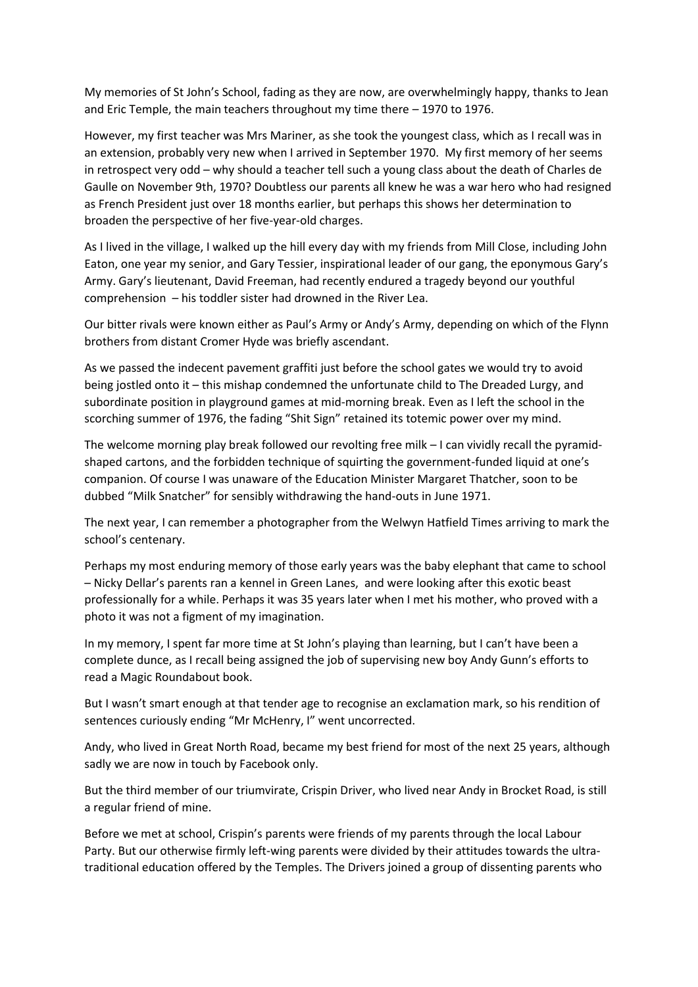My memories of St John's School, fading as they are now, are overwhelmingly happy, thanks to Jean and Eric Temple, the main teachers throughout my time there – 1970 to 1976.

However, my first teacher was Mrs Mariner, as she took the youngest class, which as I recall was in an extension, probably very new when I arrived in September 1970. My first memory of her seems in retrospect very odd – why should a teacher tell such a young class about the death of Charles de Gaulle on November 9th, 1970? Doubtless our parents all knew he was a war hero who had resigned as French President just over 18 months earlier, but perhaps this shows her determination to broaden the perspective of her five-year-old charges.

As I lived in the village, I walked up the hill every day with my friends from Mill Close, including John Eaton, one year my senior, and Gary Tessier, inspirational leader of our gang, the eponymous Gary's Army. Gary's lieutenant, David Freeman, had recently endured a tragedy beyond our youthful comprehension – his toddler sister had drowned in the River Lea.

Our bitter rivals were known either as Paul's Army or Andy's Army, depending on which of the Flynn brothers from distant Cromer Hyde was briefly ascendant.

As we passed the indecent pavement graffiti just before the school gates we would try to avoid being jostled onto it – this mishap condemned the unfortunate child to The Dreaded Lurgy, and subordinate position in playground games at mid-morning break. Even as I left the school in the scorching summer of 1976, the fading "Shit Sign" retained its totemic power over my mind.

The welcome morning play break followed our revolting free milk – I can vividly recall the pyramidshaped cartons, and the forbidden technique of squirting the government-funded liquid at one's companion. Of course I was unaware of the Education Minister Margaret Thatcher, soon to be dubbed "Milk Snatcher" for sensibly withdrawing the hand-outs in June 1971.

The next year, I can remember a photographer from the Welwyn Hatfield Times arriving to mark the school's centenary.

Perhaps my most enduring memory of those early years was the baby elephant that came to school – Nicky Dellar's parents ran a kennel in Green Lanes, and were looking after this exotic beast professionally for a while. Perhaps it was 35 years later when I met his mother, who proved with a photo it was not a figment of my imagination.

In my memory, I spent far more time at St John's playing than learning, but I can't have been a complete dunce, as I recall being assigned the job of supervising new boy Andy Gunn's efforts to read a Magic Roundabout book.

But I wasn't smart enough at that tender age to recognise an exclamation mark, so his rendition of sentences curiously ending "Mr McHenry, I" went uncorrected.

Andy, who lived in Great North Road, became my best friend for most of the next 25 years, although sadly we are now in touch by Facebook only.

But the third member of our triumvirate, Crispin Driver, who lived near Andy in Brocket Road, is still a regular friend of mine.

Before we met at school, Crispin's parents were friends of my parents through the local Labour Party. But our otherwise firmly left-wing parents were divided by their attitudes towards the ultratraditional education offered by the Temples. The Drivers joined a group of dissenting parents who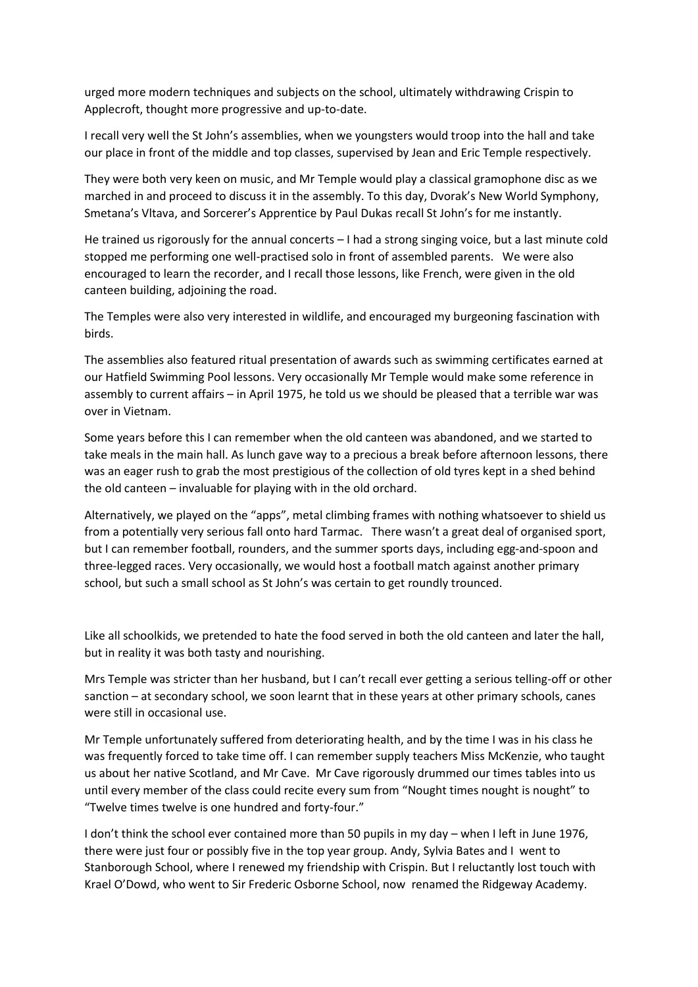urged more modern techniques and subjects on the school, ultimately withdrawing Crispin to Applecroft, thought more progressive and up-to-date.

I recall very well the St John's assemblies, when we youngsters would troop into the hall and take our place in front of the middle and top classes, supervised by Jean and Eric Temple respectively.

They were both very keen on music, and Mr Temple would play a classical gramophone disc as we marched in and proceed to discuss it in the assembly. To this day, Dvorak's New World Symphony, Smetana's Vltava, and Sorcerer's Apprentice by Paul Dukas recall St John's for me instantly.

He trained us rigorously for the annual concerts – I had a strong singing voice, but a last minute cold stopped me performing one well-practised solo in front of assembled parents. We were also encouraged to learn the recorder, and I recall those lessons, like French, were given in the old canteen building, adjoining the road.

The Temples were also very interested in wildlife, and encouraged my burgeoning fascination with birds.

The assemblies also featured ritual presentation of awards such as swimming certificates earned at our Hatfield Swimming Pool lessons. Very occasionally Mr Temple would make some reference in assembly to current affairs – in April 1975, he told us we should be pleased that a terrible war was over in Vietnam.

Some years before this I can remember when the old canteen was abandoned, and we started to take meals in the main hall. As lunch gave way to a precious a break before afternoon lessons, there was an eager rush to grab the most prestigious of the collection of old tyres kept in a shed behind the old canteen – invaluable for playing with in the old orchard.

Alternatively, we played on the "apps", metal climbing frames with nothing whatsoever to shield us from a potentially very serious fall onto hard Tarmac. There wasn't a great deal of organised sport, but I can remember football, rounders, and the summer sports days, including egg-and-spoon and three-legged races. Very occasionally, we would host a football match against another primary school, but such a small school as St John's was certain to get roundly trounced.

Like all schoolkids, we pretended to hate the food served in both the old canteen and later the hall, but in reality it was both tasty and nourishing.

Mrs Temple was stricter than her husband, but I can't recall ever getting a serious telling-off or other sanction – at secondary school, we soon learnt that in these years at other primary schools, canes were still in occasional use.

Mr Temple unfortunately suffered from deteriorating health, and by the time I was in his class he was frequently forced to take time off. I can remember supply teachers Miss McKenzie, who taught us about her native Scotland, and Mr Cave. Mr Cave rigorously drummed our times tables into us until every member of the class could recite every sum from "Nought times nought is nought" to "Twelve times twelve is one hundred and forty-four."

I don't think the school ever contained more than 50 pupils in my day – when I left in June 1976, there were just four or possibly five in the top year group. Andy, Sylvia Bates and I went to Stanborough School, where I renewed my friendship with Crispin. But I reluctantly lost touch with Krael O'Dowd, who went to Sir Frederic Osborne School, now renamed the Ridgeway Academy.